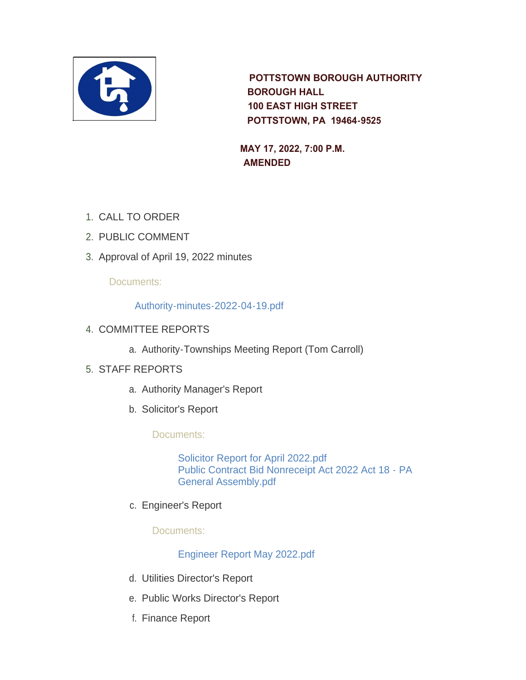

 **POTTSTOWN BOROUGH AUTHORITY BOROUGH HALL 100 EAST HIGH STREET POTTSTOWN, PA 19464-9525** 

 **MAY 17, 2022, 7:00 P.M. AMENDED**

- 1. CALL TO ORDER
- 2. PUBLIC COMMENT
- 3. Approval of April 19, 2022 minutes

# Documents:

## [Authority-minutes-2022-04-19.pdf](https://www.pottstown.org/AgendaCenter/ViewFile/Item/12626?fileID=5766)

- 4. COMMITTEE REPORTS
	- a. Authority-Townships Meeting Report (Tom Carroll)

# STAFF REPORTS 5.

- a. Authority Manager's Report
- b. Solicitor's Report

# Documents:

[Solicitor Report for April 2022.pdf](https://www.pottstown.org/AgendaCenter/ViewFile/Item/12632?fileID=5767) [Public Contract Bid Nonreceipt Act 2022 Act 18 - PA](https://www.pottstown.org/AgendaCenter/ViewFile/Item/12632?fileID=5768)  General Assembly.pdf

c. Engineer's Report

# Documents:

# [Engineer Report May 2022.pdf](https://www.pottstown.org/AgendaCenter/ViewFile/Item/12633?fileID=5780)

- d. Utilities Director's Report
- e. Public Works Director's Report
- f. Finance Report